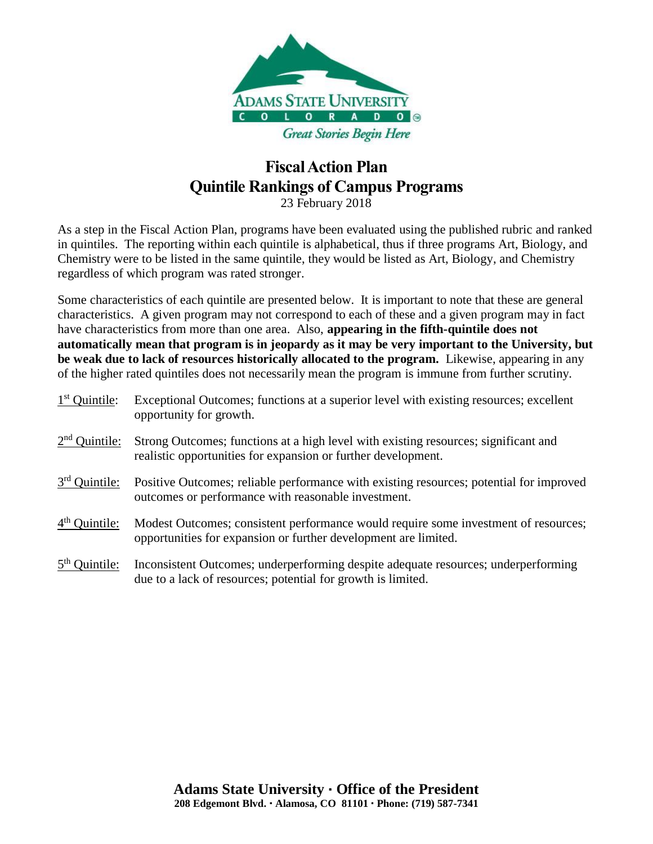

23 February 2018

As a step in the Fiscal Action Plan, programs have been evaluated using the published rubric and ranked in quintiles. The reporting within each quintile is alphabetical, thus if three programs Art, Biology, and Chemistry were to be listed in the same quintile, they would be listed as Art, Biology, and Chemistry regardless of which program was rated stronger.

Some characteristics of each quintile are presented below. It is important to note that these are general characteristics. A given program may not correspond to each of these and a given program may in fact have characteristics from more than one area. Also, **appearing in the fifth-quintile does not automatically mean that program is in jeopardy as it may be very important to the University, but be weak due to lack of resources historically allocated to the program.** Likewise, appearing in any of the higher rated quintiles does not necessarily mean the program is immune from further scrutiny.

| $1st$ Quintile: | Exceptional Outcomes; functions at a superior level with existing resources; excellent<br>opportunity for growth.                                      |
|-----------------|--------------------------------------------------------------------------------------------------------------------------------------------------------|
| $2nd$ Quintile: | Strong Outcomes; functions at a high level with existing resources; significant and<br>realistic opportunities for expansion or further development.   |
| $3rd$ Quintile: | Positive Outcomes; reliable performance with existing resources; potential for improved<br>outcomes or performance with reasonable investment.         |
| $4th$ Quintile: | Modest Outcomes; consistent performance would require some investment of resources;<br>opportunities for expansion or further development are limited. |
| $5th$ Quintile: | Inconsistent Outcomes; underperforming despite adequate resources; underperforming<br>due to a lack of resources; potential for growth is limited.     |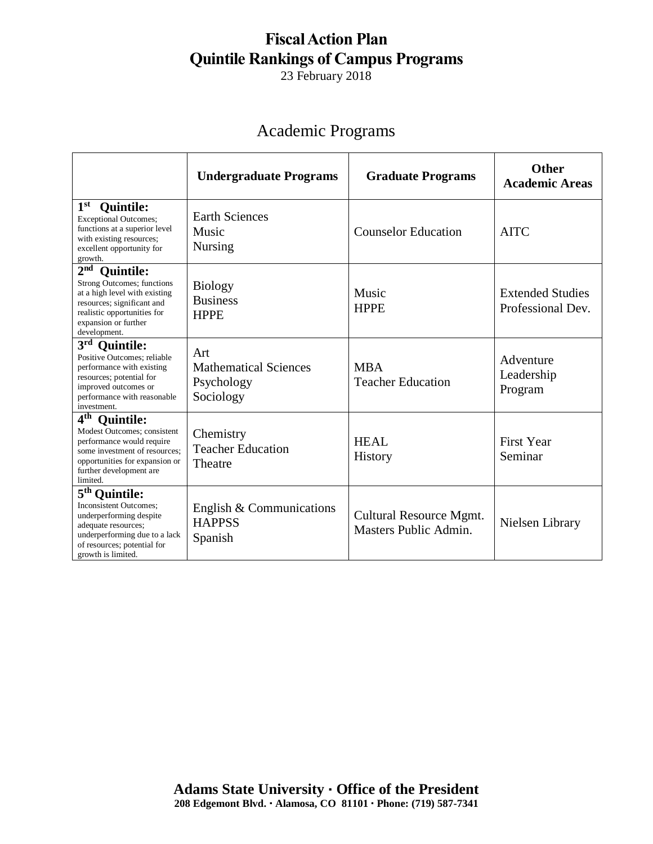23 February 2018

## Academic Programs

|                                                                                                                                                                                                                | <b>Undergraduate Programs</b>                                  | <b>Graduate Programs</b>                         | <b>Other</b><br><b>Academic Areas</b>        |
|----------------------------------------------------------------------------------------------------------------------------------------------------------------------------------------------------------------|----------------------------------------------------------------|--------------------------------------------------|----------------------------------------------|
| $1^{\rm st}$<br><b>Quintile:</b><br><b>Exceptional Outcomes;</b><br>functions at a superior level<br>with existing resources;<br>excellent opportunity for<br>growth.                                          | <b>Earth Sciences</b><br>Music<br><b>Nursing</b>               | <b>Counselor Education</b>                       | <b>AITC</b>                                  |
| $2nd$ Quintile:<br><b>Strong Outcomes; functions</b><br>at a high level with existing<br>resources; significant and<br>realistic opportunities for<br>expansion or further<br>development.                     | <b>Biology</b><br><b>Business</b><br><b>HPPE</b>               | Music<br><b>HPPE</b>                             | <b>Extended Studies</b><br>Professional Dev. |
| 3 <sup>rd</sup><br><b>Quintile:</b><br>Positive Outcomes: reliable<br>performance with existing<br>resources; potential for<br>improved outcomes or<br>performance with reasonable<br>investment.              | Art<br><b>Mathematical Sciences</b><br>Psychology<br>Sociology | <b>MBA</b><br><b>Teacher Education</b>           | Adventure<br>Leadership<br>Program           |
| $4^{\rm th}$<br><b>Quintile:</b><br><b>Modest Outcomes</b> ; consistent<br>performance would require<br>some investment of resources;<br>opportunities for expansion or<br>further development are<br>limited. | Chemistry<br><b>Teacher Education</b><br>Theatre               | HEAL<br>History                                  | <b>First Year</b><br>Seminar                 |
| 5 <sup>th</sup> Quintile:<br><b>Inconsistent Outcomes;</b><br>underperforming despite<br>adequate resources;<br>underperforming due to a lack<br>of resources; potential for<br>growth is limited.             | English $&$ Communications<br><b>HAPPSS</b><br>Spanish         | Cultural Resource Mgmt.<br>Masters Public Admin. | Nielsen Library                              |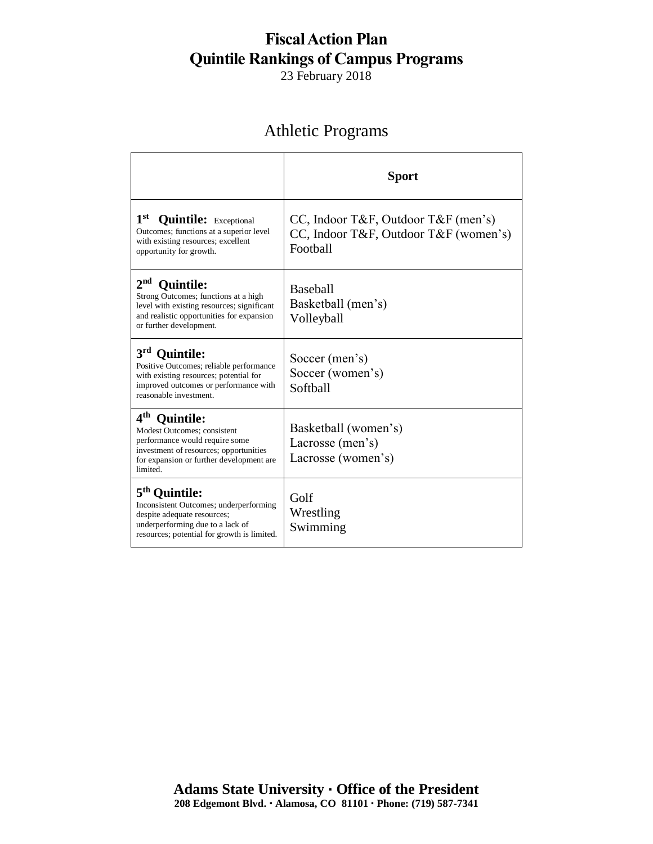23 February 2018

## Athletic Programs

|                                                                                                                                                                                                   | <b>Sport</b>                                                                             |
|---------------------------------------------------------------------------------------------------------------------------------------------------------------------------------------------------|------------------------------------------------------------------------------------------|
| 1st Quintile: Exceptional<br>Outcomes; functions at a superior level<br>with existing resources; excellent<br>opportunity for growth.                                                             | CC, Indoor T&F, Outdoor T&F (men's)<br>CC, Indoor T&F, Outdoor T&F (women's)<br>Football |
| 2 <sub>nd</sub><br><b>Quintile:</b><br>Strong Outcomes; functions at a high<br>level with existing resources; significant<br>and realistic opportunities for expansion<br>or further development. | Baseball<br>Basketball (men's)<br>Volleyball                                             |
| 3 <sup>rd</sup><br><b>Ouintile:</b><br>Positive Outcomes; reliable performance<br>with existing resources; potential for<br>improved outcomes or performance with<br>reasonable investment.       | Soccer (men's)<br>Soccer (women's)<br>Softball                                           |
| 4 <sup>th</sup> Quintile:<br>Modest Outcomes; consistent<br>performance would require some<br>investment of resources; opportunities<br>for expansion or further development are<br>limited.      | Basketball (women's)<br>Lacrosse (men's)<br>Lacrosse (women's)                           |
| 5 <sup>th</sup> Ouintile:<br>Inconsistent Outcomes; underperforming<br>despite adequate resources;<br>underperforming due to a lack of<br>resources; potential for growth is limited.             | Golf<br>Wrestling<br>Swimming                                                            |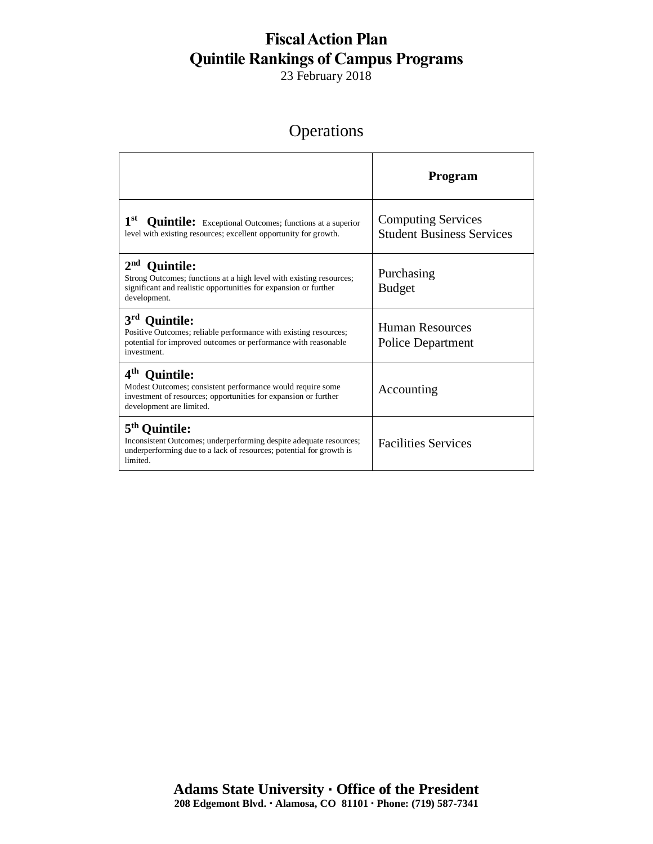23 February 2018

## **Operations**

|                                                                                                                                                                                                | Program                                                       |
|------------------------------------------------------------------------------------------------------------------------------------------------------------------------------------------------|---------------------------------------------------------------|
| 1 <sup>st</sup><br><b>Quintile:</b> Exceptional Outcomes; functions at a superior<br>level with existing resources; excellent opportunity for growth.                                          | <b>Computing Services</b><br><b>Student Business Services</b> |
| 2 <sup>nd</sup><br><b>Quintile:</b><br>Strong Outcomes; functions at a high level with existing resources;<br>significant and realistic opportunities for expansion or further<br>development. | Purchasing<br><b>Budget</b>                                   |
| 3 <sup>rd</sup> Quintile:<br>Positive Outcomes; reliable performance with existing resources;<br>potential for improved outcomes or performance with reasonable<br>investment                  | Human Resources<br><b>Police Department</b>                   |
| 4 <sup>th</sup> Quintile:<br>Modest Outcomes; consistent performance would require some<br>investment of resources; opportunities for expansion or further<br>development are limited.         | Accounting                                                    |
| 5 <sup>th</sup> Quintile:<br>Inconsistent Outcomes; underperforming despite adequate resources;<br>underperforming due to a lack of resources; potential for growth is<br>limited.             | <b>Facilities Services</b>                                    |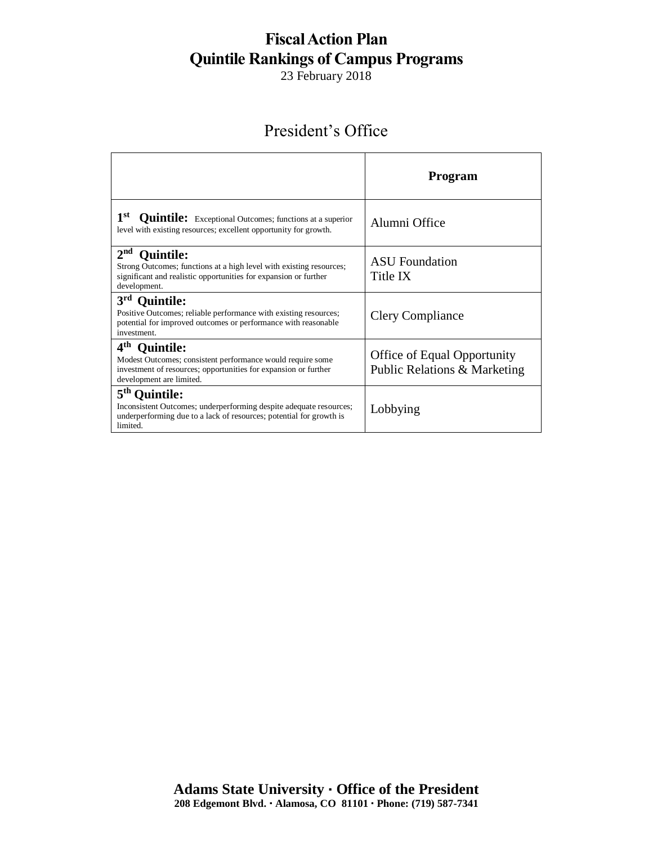23 February 2018

#### President's Office

|                                                                                                                                                                                                  | Program                                                            |
|--------------------------------------------------------------------------------------------------------------------------------------------------------------------------------------------------|--------------------------------------------------------------------|
| 1 <sup>st</sup><br><b>Quintile:</b> Exceptional Outcomes; functions at a superior<br>level with existing resources; excellent opportunity for growth.                                            | Alumni Office                                                      |
| 2 <sup>nd</sup><br><b>Quintile:</b><br>Strong Outcomes; functions at a high level with existing resources;<br>significant and realistic opportunities for expansion or further<br>development.   | <b>ASU</b> Foundation<br>Title IX                                  |
| 3 <sup>rd</sup> Quintile:<br>Positive Outcomes; reliable performance with existing resources;<br>potential for improved outcomes or performance with reasonable<br>investment.                   | <b>Clery Compliance</b>                                            |
| $4^{\text{th}}$<br><b>Quintile:</b><br>Modest Outcomes; consistent performance would require some<br>investment of resources; opportunities for expansion or further<br>development are limited. | <b>Office of Equal Opportunity</b><br>Public Relations & Marketing |
| 5 <sup>th</sup> Ouintile:<br>Inconsistent Outcomes; underperforming despite adequate resources;<br>underperforming due to a lack of resources; potential for growth is<br>limited.               | Lobbying                                                           |